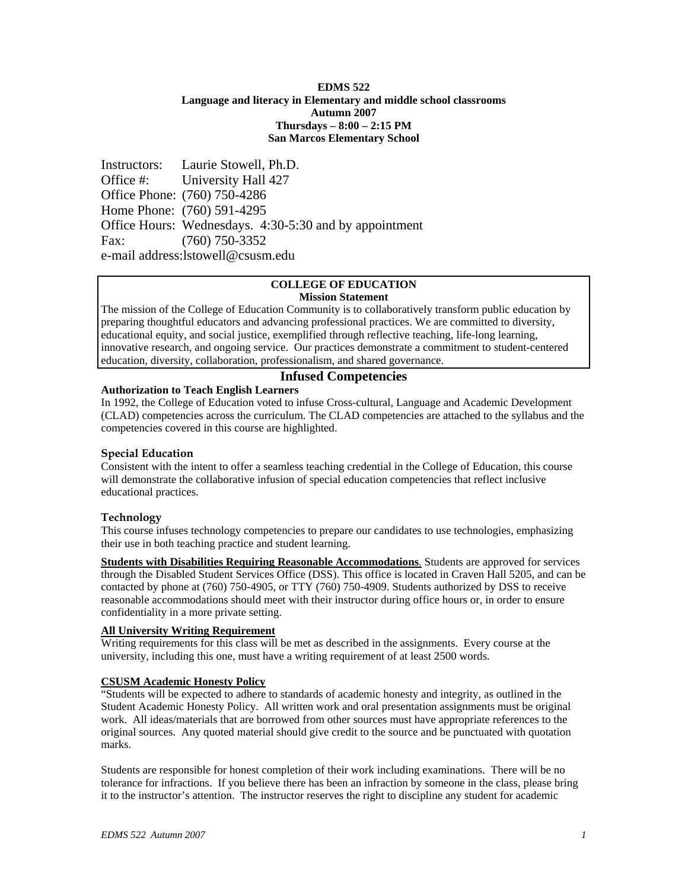### **EDMS 522 Language and literacy in Elementary and middle school classrooms Autumn 2007 Thursdays – 8:00 – 2:15 PM San Marcos Elementary School**

Instructors: Laurie Stowell, Ph.D. Office #: University Hall 427 Office Phone: (760) 750-4286 Home Phone: (760) 591-4295 Office Hours: Wednesdays. 4:30-5:30 and by appointment Fax: (760) 750-3352 e-mail address:lstowell@csusm.edu

#### **COLLEGE OF EDUCATION Mission Statement**

The mission of the College of Education Community is to collaboratively transform public education by preparing thoughtful educators and advancing professional practices. We are committed to diversity, educational equity, and social justice, exemplified through reflective teaching, life-long learning, innovative research, and ongoing service. Our practices demonstrate a commitment to student-centered education, diversity, collaboration, professionalism, and shared governance.

# **Infused Competencies**

# **Authorization to Teach English Learners**

In 1992, the College of Education voted to infuse Cross-cultural, Language and Academic Development (CLAD) competencies across the curriculum. The CLAD competencies are attached to the syllabus and the competencies covered in this course are highlighted.

# **Special Education**

Consistent with the intent to offer a seamless teaching credential in the College of Education, this course will demonstrate the collaborative infusion of special education competencies that reflect inclusive educational practices.

# **Technology**

This course infuses technology competencies to prepare our candidates to use technologies, emphasizing their use in both teaching practice and student learning.

**Students with Disabilities Requiring Reasonable Accommodations.** Students are approved for services through the Disabled Student Services Office (DSS). This office is located in Craven Hall 5205, and can be contacted by phone at (760) 750-4905, or TTY (760) 750-4909. Students authorized by DSS to receive reasonable accommodations should meet with their instructor during office hours or, in order to ensure confidentiality in a more private setting.

# **All University Writing Requirement**

Writing requirements for this class will be met as described in the assignments. Every course at the university, including this one, must have a writing requirement of at least 2500 words.

# **CSUSM Academic Honesty Policy**

"Students will be expected to adhere to standards of academic honesty and integrity, as outlined in the Student Academic Honesty Policy. All written work and oral presentation assignments must be original work. All ideas/materials that are borrowed from other sources must have appropriate references to the original sources. Any quoted material should give credit to the source and be punctuated with quotation marks.

Students are responsible for honest completion of their work including examinations. There will be no tolerance for infractions. If you believe there has been an infraction by someone in the class, please bring it to the instructor's attention. The instructor reserves the right to discipline any student for academic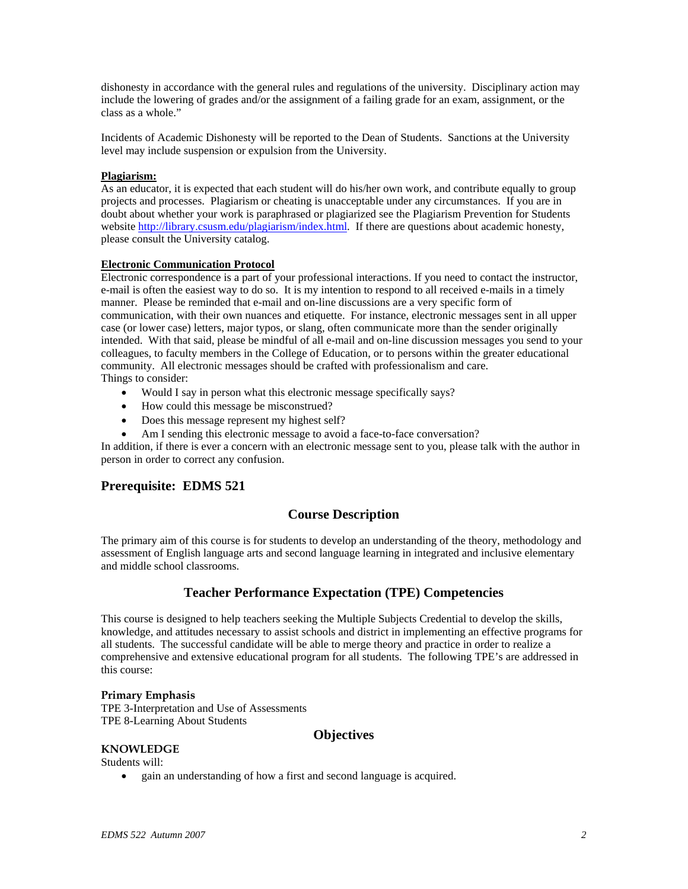dishonesty in accordance with the general rules and regulations of the university. Disciplinary action may include the lowering of grades and/or the assignment of a failing grade for an exam, assignment, or the class as a whole."

Incidents of Academic Dishonesty will be reported to the Dean of Students. Sanctions at the University level may include suspension or expulsion from the University.

### **Plagiarism:**

As an educator, it is expected that each student will do his/her own work, and contribute equally to group projects and processes. Plagiarism or cheating is unacceptable under any circumstances. If you are in doubt about whether your work is paraphrased or plagiarized see the Plagiarism Prevention for Students website http://library.csusm.edu/plagiarism/index.html. If there are questions about academic honesty, please consult the University catalog.

### **Electronic Communication Protocol**

Electronic correspondence is a part of your professional interactions. If you need to contact the instructor, e-mail is often the easiest way to do so. It is my intention to respond to all received e-mails in a timely manner. Please be reminded that e-mail and on-line discussions are a very specific form of communication, with their own nuances and etiquette. For instance, electronic messages sent in all upper case (or lower case) letters, major typos, or slang, often communicate more than the sender originally intended. With that said, please be mindful of all e-mail and on-line discussion messages you send to your colleagues, to faculty members in the College of Education, or to persons within the greater educational community. All electronic messages should be crafted with professionalism and care. Things to consider:

- Would I say in person what this electronic message specifically says?
- How could this message be misconstrued?
- Does this message represent my highest self?
- Am I sending this electronic message to avoid a face-to-face conversation?

In addition, if there is ever a concern with an electronic message sent to you, please talk with the author in person in order to correct any confusion.

# **Prerequisite: EDMS 521**

# **Course Description**

The primary aim of this course is for students to develop an understanding of the theory, methodology and assessment of English language arts and second language learning in integrated and inclusive elementary and middle school classrooms.

# **Teacher Performance Expectation (TPE) Competencies**

This course is designed to help teachers seeking the Multiple Subjects Credential to develop the skills, knowledge, and attitudes necessary to assist schools and district in implementing an effective programs for all students. The successful candidate will be able to merge theory and practice in order to realize a comprehensive and extensive educational program for all students. The following TPE's are addressed in this course:

#### **Primary Emphasis**

TPE 3-Interpretation and Use of Assessments TPE 8-Learning About Students

### **Objectives**

### **KNOWLEDGE**

Students will:

• gain an understanding of how a first and second language is acquired.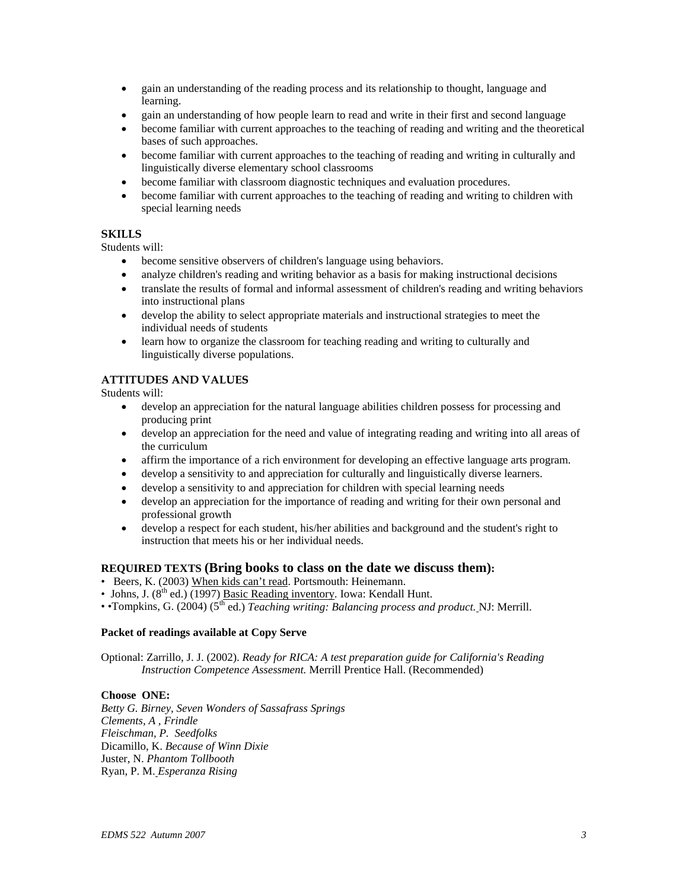- gain an understanding of the reading process and its relationship to thought, language and learning.
- gain an understanding of how people learn to read and write in their first and second language
- become familiar with current approaches to the teaching of reading and writing and the theoretical bases of such approaches.
- become familiar with current approaches to the teaching of reading and writing in culturally and linguistically diverse elementary school classrooms
- become familiar with classroom diagnostic techniques and evaluation procedures.
- become familiar with current approaches to the teaching of reading and writing to children with special learning needs

### **SKILLS**

Students will:

- become sensitive observers of children's language using behaviors.
- analyze children's reading and writing behavior as a basis for making instructional decisions
- translate the results of formal and informal assessment of children's reading and writing behaviors into instructional plans
- develop the ability to select appropriate materials and instructional strategies to meet the individual needs of students
- learn how to organize the classroom for teaching reading and writing to culturally and linguistically diverse populations.

# **ATTITUDES AND VALUES**

Students will:

- develop an appreciation for the natural language abilities children possess for processing and producing print
- develop an appreciation for the need and value of integrating reading and writing into all areas of the curriculum
- affirm the importance of a rich environment for developing an effective language arts program.
- develop a sensitivity to and appreciation for culturally and linguistically diverse learners.
- develop a sensitivity to and appreciation for children with special learning needs
- develop an appreciation for the importance of reading and writing for their own personal and professional growth
- develop a respect for each student, his/her abilities and background and the student's right to instruction that meets his or her individual needs.

### **REQUIRED TEXTS (Bring books to class on the date we discuss them):**

- Beers, K. (2003) When kids can't read. Portsmouth: Heinemann.
- Johns, J.  $(8^{th}$  ed.)  $(1997)$  Basic Reading inventory. Iowa: Kendall Hunt.
- •Tompkins, G. (2004) (5th ed.) *Teaching writing: Balancing process and product.* NJ: Merrill.

### **Packet of readings available at Copy Serve**

Optional: Zarrillo, J. J. (2002). *Ready for RICA: A test preparation guide for California's Reading Instruction Competence Assessment.* Merrill Prentice Hall. (Recommended)

#### **Choose ONE:**

*Betty G. Birney, Seven Wonders of Sassafrass Springs Clements, A , Frindle Fleischman, P. Seedfolks* Dicamillo, K. *Because of Winn Dixie* Juster, N. *Phantom Tollbooth* Ryan, P. M. *Esperanza Rising*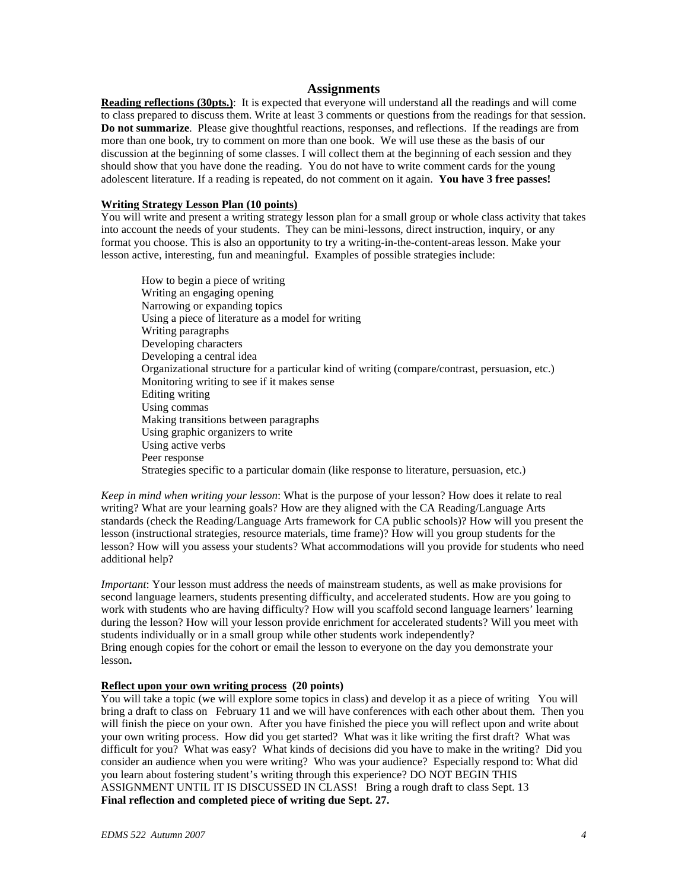### **Assignments**

**Reading reflections (30pts.)**: It is expected that everyone will understand all the readings and will come to class prepared to discuss them. Write at least 3 comments or questions from the readings for that session. **Do not summarize**. Please give thoughtful reactions, responses, and reflections. If the readings are from more than one book, try to comment on more than one book. We will use these as the basis of our discussion at the beginning of some classes. I will collect them at the beginning of each session and they should show that you have done the reading. You do not have to write comment cards for the young adolescent literature. If a reading is repeated, do not comment on it again. **You have 3 free passes!** 

#### **Writing Strategy Lesson Plan (10 points)**

You will write and present a writing strategy lesson plan for a small group or whole class activity that takes into account the needs of your students. They can be mini-lessons, direct instruction, inquiry, or any format you choose. This is also an opportunity to try a writing-in-the-content-areas lesson. Make your lesson active, interesting, fun and meaningful. Examples of possible strategies include:

How to begin a piece of writing Writing an engaging opening Narrowing or expanding topics Using a piece of literature as a model for writing Writing paragraphs Developing characters Developing a central idea Organizational structure for a particular kind of writing (compare/contrast, persuasion, etc.) Monitoring writing to see if it makes sense Editing writing Using commas Making transitions between paragraphs Using graphic organizers to write Using active verbs Peer response Strategies specific to a particular domain (like response to literature, persuasion, etc.)

*Keep in mind when writing your lesson*: What is the purpose of your lesson? How does it relate to real writing? What are your learning goals? How are they aligned with the CA Reading/Language Arts standards (check the Reading/Language Arts framework for CA public schools)? How will you present the lesson (instructional strategies, resource materials, time frame)? How will you group students for the lesson? How will you assess your students? What accommodations will you provide for students who need additional help?

*Important*: Your lesson must address the needs of mainstream students, as well as make provisions for second language learners, students presenting difficulty, and accelerated students. How are you going to work with students who are having difficulty? How will you scaffold second language learners' learning during the lesson? How will your lesson provide enrichment for accelerated students? Will you meet with students individually or in a small group while other students work independently? Bring enough copies for the cohort or email the lesson to everyone on the day you demonstrate your lesson**.** 

### **Reflect upon your own writing process (20 points)**

You will take a topic (we will explore some topics in class) and develop it as a piece of writing You will bring a draft to class on February 11 and we will have conferences with each other about them. Then you will finish the piece on your own. After you have finished the piece you will reflect upon and write about your own writing process. How did you get started? What was it like writing the first draft? What was difficult for you? What was easy? What kinds of decisions did you have to make in the writing? Did you consider an audience when you were writing? Who was your audience? Especially respond to: What did you learn about fostering student's writing through this experience? DO NOT BEGIN THIS ASSIGNMENT UNTIL IT IS DISCUSSED IN CLASS! Bring a rough draft to class Sept. 13 **Final reflection and completed piece of writing due Sept. 27.**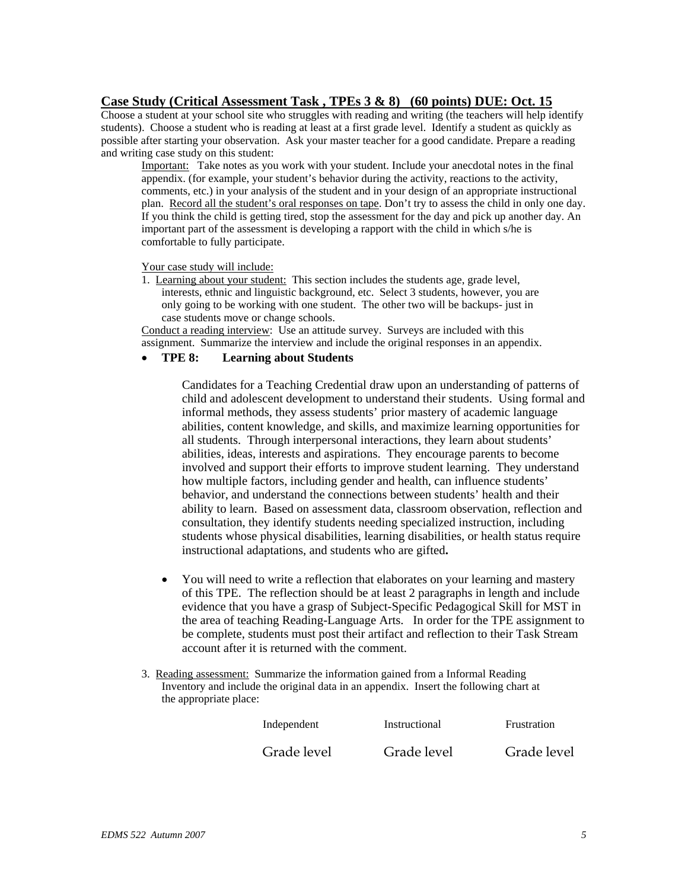# **Case Study (Critical Assessment Task , TPEs 3 & 8) (60 points) DUE: Oct. 15**

Choose a student at your school site who struggles with reading and writing (the teachers will help identify students). Choose a student who is reading at least at a first grade level. Identify a student as quickly as possible after starting your observation. Ask your master teacher for a good candidate. Prepare a reading and writing case study on this student:

Important: Take notes as you work with your student. Include your anecdotal notes in the final appendix. (for example, your student's behavior during the activity, reactions to the activity, comments, etc.) in your analysis of the student and in your design of an appropriate instructional plan. Record all the student's oral responses on tape. Don't try to assess the child in only one day. If you think the child is getting tired, stop the assessment for the day and pick up another day. An important part of the assessment is developing a rapport with the child in which s/he is comfortable to fully participate.

### Your case study will include:

1. Learning about your student: This section includes the students age, grade level, interests, ethnic and linguistic background, etc. Select 3 students, however, you are only going to be working with one student. The other two will be backups- just in case students move or change schools.

Conduct a reading interview: Use an attitude survey. Surveys are included with this assignment. Summarize the interview and include the original responses in an appendix.

# • **TPE 8: Learning about Students**

Candidates for a Teaching Credential draw upon an understanding of patterns of child and adolescent development to understand their students. Using formal and informal methods, they assess students' prior mastery of academic language abilities, content knowledge, and skills, and maximize learning opportunities for all students. Through interpersonal interactions, they learn about students' abilities, ideas, interests and aspirations. They encourage parents to become involved and support their efforts to improve student learning. They understand how multiple factors, including gender and health, can influence students' behavior, and understand the connections between students' health and their ability to learn.Based on assessment data, classroom observation, reflection and consultation, they identify students needing specialized instruction, including students whose physical disabilities, learning disabilities, or health status require instructional adaptations, and students who are gifted**.** 

- You will need to write a reflection that elaborates on your learning and mastery of this TPE. The reflection should be at least 2 paragraphs in length and include evidence that you have a grasp of Subject-Specific Pedagogical Skill for MST in the area of teaching Reading-Language Arts. In order for the TPE assignment to be complete, students must post their artifact and reflection to their Task Stream account after it is returned with the comment.
- 3. Reading assessment: Summarize the information gained from a Informal Reading Inventory and include the original data in an appendix. Insert the following chart at the appropriate place:

| Independent | Instructional | Frustration |
|-------------|---------------|-------------|
| Grade level | Grade level   | Grade level |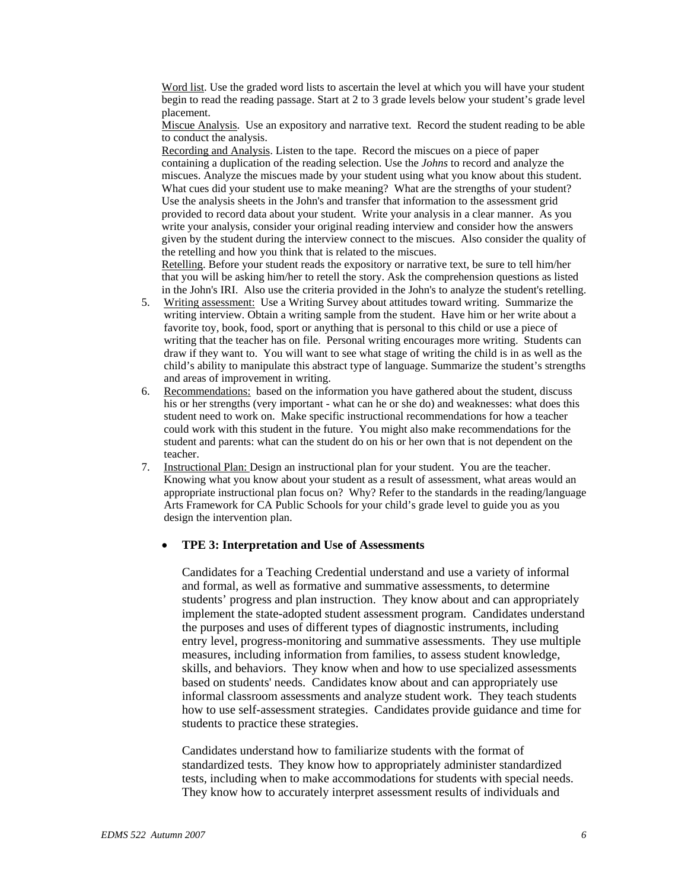Word list. Use the graded word lists to ascertain the level at which you will have your student begin to read the reading passage. Start at 2 to 3 grade levels below your student's grade level placement.

Miscue Analysis. Use an expository and narrative text. Record the student reading to be able to conduct the analysis.

Recording and Analysis. Listen to the tape. Record the miscues on a piece of paper containing a duplication of the reading selection. Use the *Johns* to record and analyze the miscues. Analyze the miscues made by your student using what you know about this student. What cues did your student use to make meaning? What are the strengths of your student? Use the analysis sheets in the John's and transfer that information to the assessment grid provided to record data about your student. Write your analysis in a clear manner. As you write your analysis, consider your original reading interview and consider how the answers given by the student during the interview connect to the miscues. Also consider the quality of the retelling and how you think that is related to the miscues.

Retelling. Before your student reads the expository or narrative text, be sure to tell him/her that you will be asking him/her to retell the story. Ask the comprehension questions as listed in the John's IRI. Also use the criteria provided in the John's to analyze the student's retelling.

- 5. Writing assessment: Use a Writing Survey about attitudes toward writing. Summarize the writing interview. Obtain a writing sample from the student. Have him or her write about a favorite toy, book, food, sport or anything that is personal to this child or use a piece of writing that the teacher has on file. Personal writing encourages more writing. Students can draw if they want to. You will want to see what stage of writing the child is in as well as the child's ability to manipulate this abstract type of language. Summarize the student's strengths and areas of improvement in writing.
- 6. Recommendations: based on the information you have gathered about the student, discuss his or her strengths (very important - what can he or she do) and weaknesses: what does this student need to work on. Make specific instructional recommendations for how a teacher could work with this student in the future. You might also make recommendations for the student and parents: what can the student do on his or her own that is not dependent on the teacher.
- 7. Instructional Plan: Design an instructional plan for your student. You are the teacher. Knowing what you know about your student as a result of assessment, what areas would an appropriate instructional plan focus on? Why? Refer to the standards in the reading/language Arts Framework for CA Public Schools for your child's grade level to guide you as you design the intervention plan.

### • **TPE 3: Interpretation and Use of Assessments**

Candidates for a Teaching Credential understand and use a variety of informal and formal, as well as formative and summative assessments, to determine students' progress and plan instruction. They know about and can appropriately implement the state-adopted student assessment program. Candidates understand the purposes and uses of different types of diagnostic instruments, including entry level, progress-monitoring and summative assessments. They use multiple measures, including information from families, to assess student knowledge, skills, and behaviors. They know when and how to use specialized assessments based on students' needs. Candidates know about and can appropriately use informal classroom assessments and analyze student work. They teach students how to use self-assessment strategies. Candidates provide guidance and time for students to practice these strategies.

Candidates understand how to familiarize students with the format of standardized tests. They know how to appropriately administer standardized tests, including when to make accommodations for students with special needs. They know how to accurately interpret assessment results of individuals and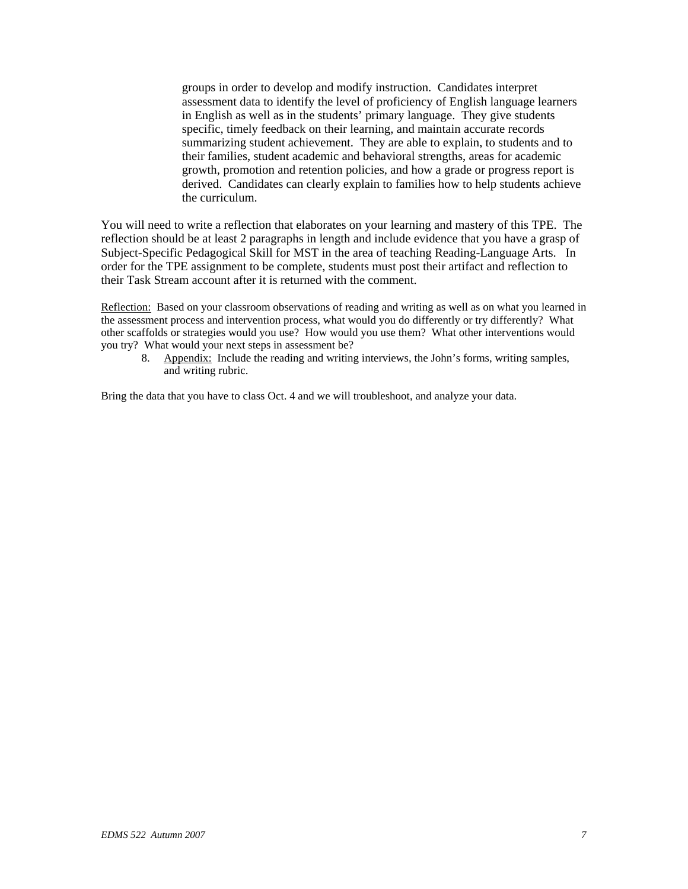groups in order to develop and modify instruction. Candidates interpret assessment data to identify the level of proficiency of English language learners in English as well as in the students' primary language. They give students specific, timely feedback on their learning, and maintain accurate records summarizing student achievement. They are able to explain, to students and to their families, student academic and behavioral strengths, areas for academic growth, promotion and retention policies, and how a grade or progress report is derived. Candidates can clearly explain to families how to help students achieve the curriculum.

You will need to write a reflection that elaborates on your learning and mastery of this TPE. The reflection should be at least 2 paragraphs in length and include evidence that you have a grasp of Subject-Specific Pedagogical Skill for MST in the area of teaching Reading-Language Arts. In order for the TPE assignment to be complete, students must post their artifact and reflection to their Task Stream account after it is returned with the comment.

Reflection: Based on your classroom observations of reading and writing as well as on what you learned in the assessment process and intervention process, what would you do differently or try differently? What other scaffolds or strategies would you use? How would you use them? What other interventions would you try? What would your next steps in assessment be?

8. Appendix: Include the reading and writing interviews, the John's forms, writing samples, and writing rubric.

Bring the data that you have to class Oct. 4 and we will troubleshoot, and analyze your data.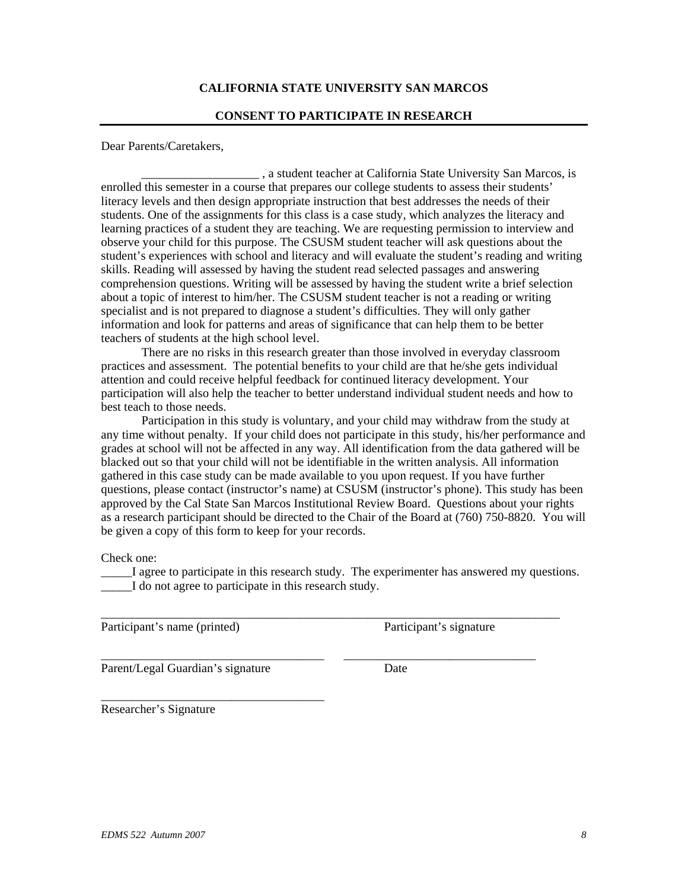# **CALIFORNIA STATE UNIVERSITY SAN MARCOS**

### **CONSENT TO PARTICIPATE IN RESEARCH**

Dear Parents/Caretakers,

\_\_\_\_\_\_\_\_\_\_\_\_\_\_\_\_\_\_\_ , a student teacher at California State University San Marcos, is enrolled this semester in a course that prepares our college students to assess their students' literacy levels and then design appropriate instruction that best addresses the needs of their students. One of the assignments for this class is a case study, which analyzes the literacy and learning practices of a student they are teaching. We are requesting permission to interview and observe your child for this purpose. The CSUSM student teacher will ask questions about the student's experiences with school and literacy and will evaluate the student's reading and writing skills. Reading will assessed by having the student read selected passages and answering comprehension questions. Writing will be assessed by having the student write a brief selection about a topic of interest to him/her. The CSUSM student teacher is not a reading or writing specialist and is not prepared to diagnose a student's difficulties. They will only gather information and look for patterns and areas of significance that can help them to be better teachers of students at the high school level.

There are no risks in this research greater than those involved in everyday classroom practices and assessment. The potential benefits to your child are that he/she gets individual attention and could receive helpful feedback for continued literacy development. Your participation will also help the teacher to better understand individual student needs and how to best teach to those needs.

Participation in this study is voluntary, and your child may withdraw from the study at any time without penalty. If your child does not participate in this study, his/her performance and grades at school will not be affected in any way. All identification from the data gathered will be blacked out so that your child will not be identifiable in the written analysis. All information gathered in this case study can be made available to you upon request. If you have further questions, please contact (instructor's name) at CSUSM (instructor's phone). This study has been approved by the Cal State San Marcos Institutional Review Board. Questions about your rights as a research participant should be directed to the Chair of the Board at (760) 750-8820. You will be given a copy of this form to keep for your records.

Check one:

\_\_\_\_\_I agree to participate in this research study. The experimenter has answered my questions. \_\_\_\_\_I do not agree to participate in this research study.

\_\_\_\_\_\_\_\_\_\_\_\_\_\_\_\_\_\_\_\_\_\_\_\_\_\_\_\_\_\_\_\_\_\_\_\_\_\_\_\_\_\_\_\_\_\_\_\_\_\_\_\_\_\_\_\_\_\_\_\_\_\_\_\_\_\_\_\_\_\_\_\_\_\_

\_\_\_\_\_\_\_\_\_\_\_\_\_\_\_\_\_\_\_\_\_\_\_\_\_\_\_\_\_\_\_\_\_\_\_\_ \_\_\_\_\_\_\_\_\_\_\_\_\_\_\_\_\_\_\_\_\_\_\_\_\_\_\_\_\_\_\_

Participant's name (printed) Participant's signature

Parent/Legal Guardian's signature Date

\_\_\_\_\_\_\_\_\_\_\_\_\_\_\_\_\_\_\_\_\_\_\_\_\_\_\_\_\_\_\_\_\_\_\_\_ Researcher's Signature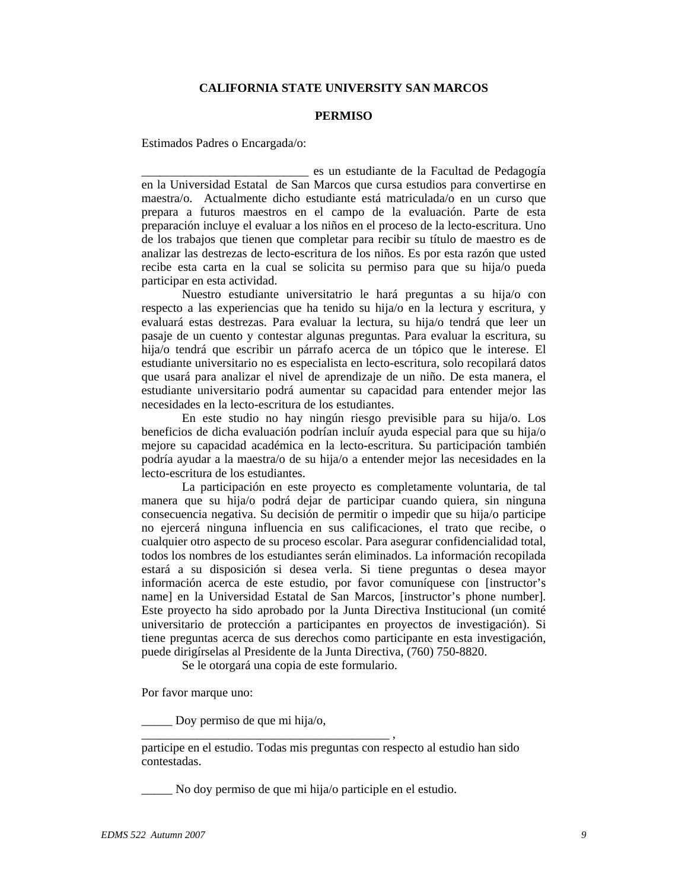### **CALIFORNIA STATE UNIVERSITY SAN MARCOS**

#### **PERMISO**

Estimados Padres o Encargada/o:

\_\_\_\_\_\_\_\_\_\_\_\_\_\_\_\_\_\_\_\_\_\_\_\_\_\_\_ es un estudiante de la Facultad de Pedagogía en la Universidad Estatal de San Marcos que cursa estudios para convertirse en maestra/o. Actualmente dicho estudiante está matriculada/o en un curso que prepara a futuros maestros en el campo de la evaluación. Parte de esta preparación incluye el evaluar a los niños en el proceso de la lecto-escritura. Uno de los trabajos que tienen que completar para recibir su título de maestro es de analizar las destrezas de lecto-escritura de los niños. Es por esta razón que usted recibe esta carta en la cual se solicita su permiso para que su hija/o pueda participar en esta actividad.

Nuestro estudiante universitatrio le hará preguntas a su hija/o con respecto a las experiencias que ha tenido su hija/o en la lectura y escritura, y evaluará estas destrezas. Para evaluar la lectura, su hija/o tendrá que leer un pasaje de un cuento y contestar algunas preguntas. Para evaluar la escritura, su hija/o tendrá que escribir un párrafo acerca de un tópico que le interese. El estudiante universitario no es especialista en lecto-escritura, solo recopilará datos que usará para analizar el nivel de aprendizaje de un niño. De esta manera, el estudiante universitario podrá aumentar su capacidad para entender mejor las necesidades en la lecto-escritura de los estudiantes.

En este studio no hay ningún riesgo previsible para su hija/o. Los beneficios de dicha evaluación podrían incluír ayuda especial para que su hija/o mejore su capacidad académica en la lecto-escritura. Su participación también podría ayudar a la maestra/o de su hija/o a entender mejor las necesidades en la lecto-escritura de los estudiantes.

La participación en este proyecto es completamente voluntaria, de tal manera que su hija/o podrá dejar de participar cuando quiera, sin ninguna consecuencia negativa. Su decisión de permitir o impedir que su hija/o participe no ejercerá ninguna influencia en sus calificaciones, el trato que recibe, o cualquier otro aspecto de su proceso escolar. Para asegurar confidencialidad total, todos los nombres de los estudiantes serán eliminados. La información recopilada estará a su disposición si desea verla. Si tiene preguntas o desea mayor información acerca de este estudio, por favor comuníquese con [instructor's name] en la Universidad Estatal de San Marcos, [instructor's phone number]. Este proyecto ha sido aprobado por la Junta Directiva Institucional (un comité universitario de protección a participantes en proyectos de investigación). Si tiene preguntas acerca de sus derechos como participante en esta investigación, puede dirigírselas al Presidente de la Junta Directiva, (760) 750-8820.

Se le otorgará una copia de este formulario.

Por favor marque uno:

\_\_\_\_\_ Doy permiso de que mi hija/o,

\_\_\_\_\_\_\_\_\_\_\_\_\_\_\_\_\_\_\_\_\_\_\_\_\_\_\_\_\_\_\_\_\_\_\_\_\_\_\_\_ ,

participe en el estudio. Todas mis preguntas con respecto al estudio han sido contestadas.

\_\_\_\_\_ No doy permiso de que mi hija/o participle en el estudio.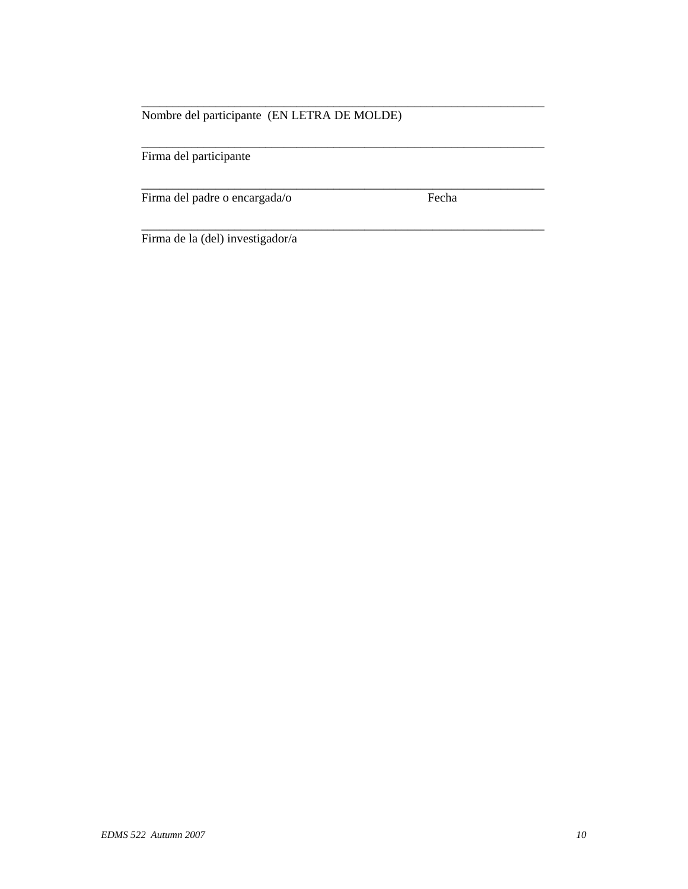# Nombre del participante (EN LETRA DE MOLDE)

\_\_\_\_\_\_\_\_\_\_\_\_\_\_\_\_\_\_\_\_\_\_\_\_\_\_\_\_\_\_\_\_\_\_\_\_\_\_\_\_\_\_\_\_\_\_\_\_\_\_\_\_\_\_\_\_\_\_\_\_\_\_\_\_\_

\_\_\_\_\_\_\_\_\_\_\_\_\_\_\_\_\_\_\_\_\_\_\_\_\_\_\_\_\_\_\_\_\_\_\_\_\_\_\_\_\_\_\_\_\_\_\_\_\_\_\_\_\_\_\_\_\_\_\_\_\_\_\_\_\_

\_\_\_\_\_\_\_\_\_\_\_\_\_\_\_\_\_\_\_\_\_\_\_\_\_\_\_\_\_\_\_\_\_\_\_\_\_\_\_\_\_\_\_\_\_\_\_\_\_\_\_\_\_\_\_\_\_\_\_\_\_\_\_\_\_

\_\_\_\_\_\_\_\_\_\_\_\_\_\_\_\_\_\_\_\_\_\_\_\_\_\_\_\_\_\_\_\_\_\_\_\_\_\_\_\_\_\_\_\_\_\_\_\_\_\_\_\_\_\_\_\_\_\_\_\_\_\_\_\_\_

Firma del participante

Firma del padre o encargada/o Fecha

Firma de la (del) investigador/a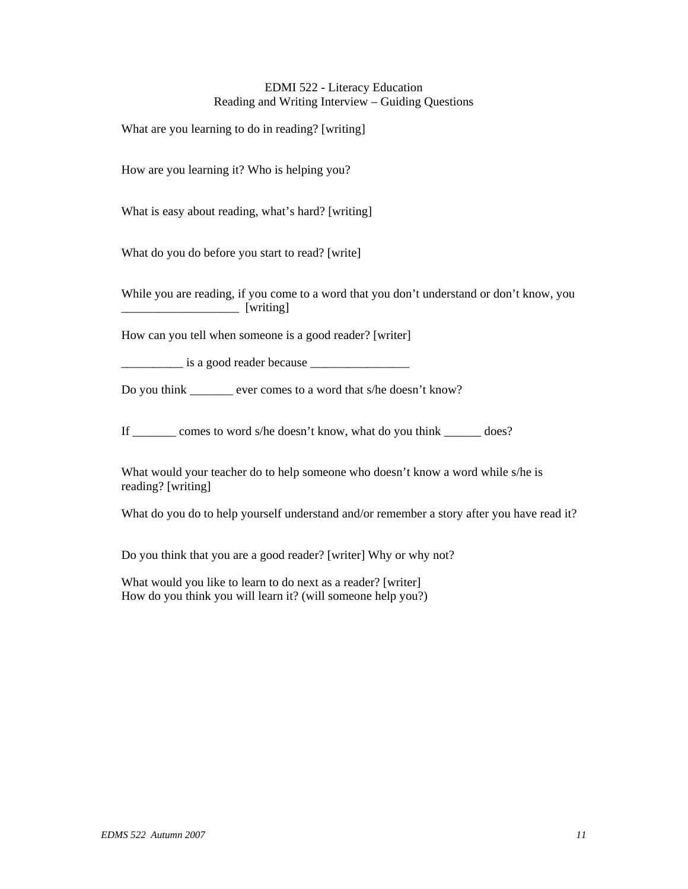### EDMI 522 - Literacy Education Reading and Writing Interview – Guiding Questions

What are you learning to do in reading? [writing]

How are you learning it? Who is helping you?

What is easy about reading, what's hard? [writing]

What do you do before you start to read? [write]

While you are reading, if you come to a word that you don't understand or don't know, you \_\_\_\_\_\_\_\_\_\_\_\_\_\_\_\_\_\_\_ [writing]

How can you tell when someone is a good reader? [writer]

 $\frac{1}{1}$  is a good reader because

Do you think ever comes to a word that s/he doesn't know?

If \_\_\_\_\_\_\_ comes to word s/he doesn't know, what do you think \_\_\_\_\_\_ does?

What would your teacher do to help someone who doesn't know a word while s/he is reading? [writing]

What do you do to help yourself understand and/or remember a story after you have read it?

Do you think that you are a good reader? [writer] Why or why not?

What would you like to learn to do next as a reader? [writer] How do you think you will learn it? (will someone help you?)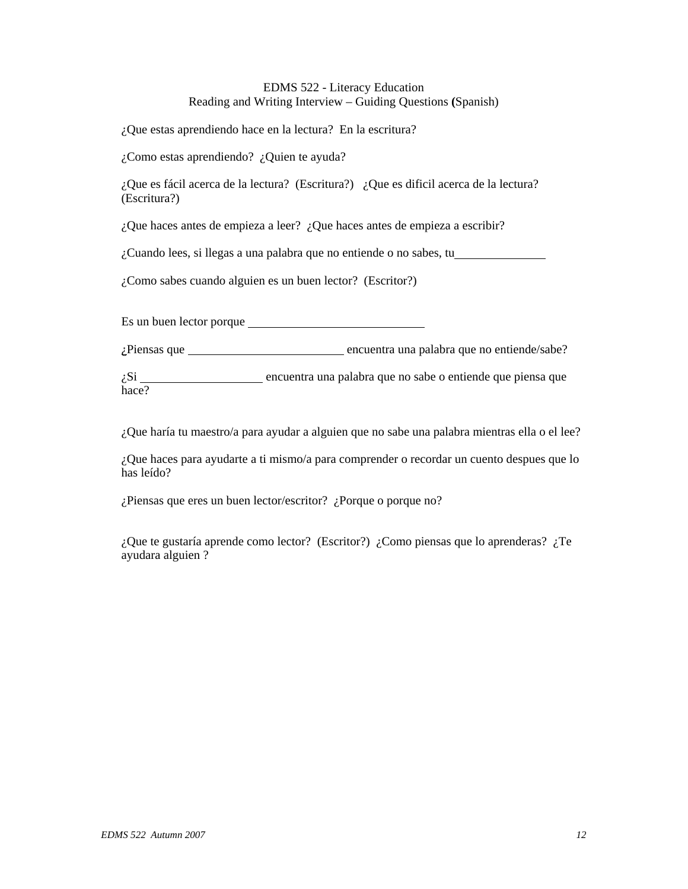# EDMS 522 - Literacy Education Reading and Writing Interview – Guiding Questions **(**Spanish)

¿Que estas aprendiendo hace en la lectura? En la escritura?

¿Como estas aprendiendo? ¿Quien te ayuda?

¿Que es fácil acerca de la lectura? (Escritura?) ¿Que es dificil acerca de la lectura? (Escritura?)

¿Que haces antes de empieza a leer? ¿Que haces antes de empieza a escribir?

¿Cuando lees, si llegas a una palabra que no entiende o no sabes, tu

¿Como sabes cuando alguien es un buen lector? (Escritor?)

Es un buen lector porque

*i*Piensas que **encuentra** una palabra que no entiende/sabe?

¿Si encuentra una palabra que no sabe o entiende que piensa que hace?

¿Que haría tu maestro/a para ayudar a alguien que no sabe una palabra mientras ella o el lee?

¿Que haces para ayudarte a ti mismo/a para comprender o recordar un cuento despues que lo has leído?

¿Piensas que eres un buen lector/escritor? ¿Porque o porque no?

¿Que te gustaría aprende como lector? (Escritor?) ¿Como piensas que lo aprenderas? ¿Te ayudara alguien ?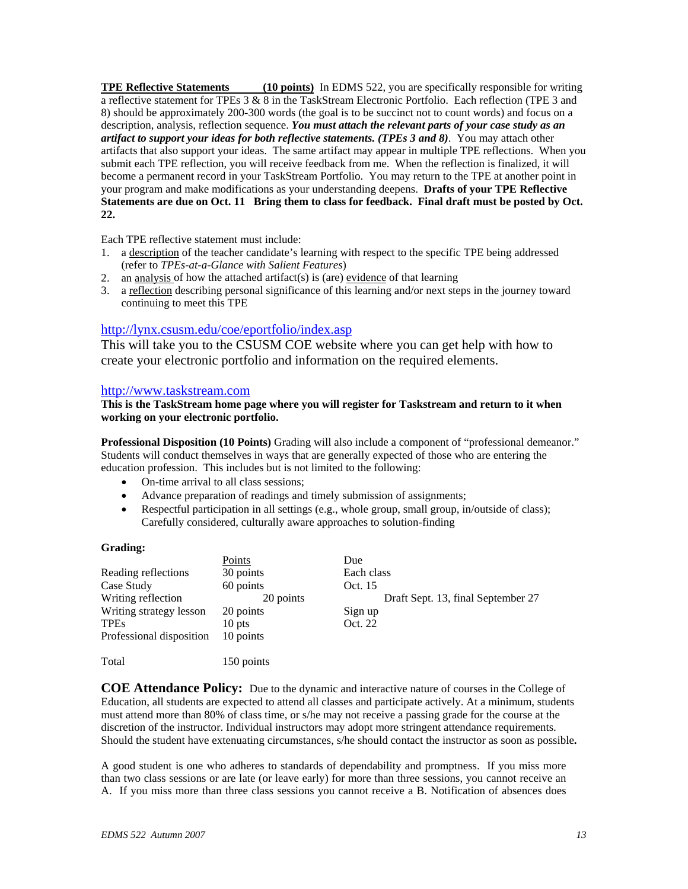**TPE Reflective Statements** (10 points) In EDMS 522, you are specifically responsible for writing a reflective statement for TPEs 3 & 8 in the TaskStream Electronic Portfolio. Each reflection (TPE 3 and 8) should be approximately 200-300 words (the goal is to be succinct not to count words) and focus on a description, analysis, reflection sequence. *You must attach the relevant parts of your case study as an artifact to support your ideas for both reflective statements. (TPEs 3 and 8)*. You may attach other artifacts that also support your ideas. The same artifact may appear in multiple TPE reflections. When you submit each TPE reflection, you will receive feedback from me. When the reflection is finalized, it will become a permanent record in your TaskStream Portfolio. You may return to the TPE at another point in your program and make modifications as your understanding deepens. **Drafts of your TPE Reflective Statements are due on Oct. 11 Bring them to class for feedback. Final draft must be posted by Oct. 22.**

Each TPE reflective statement must include:

- 1. a description of the teacher candidate's learning with respect to the specific TPE being addressed (refer to *TPEs-at-a-Glance with Salient Features*)
- 2. an analysis of how the attached artifact(s) is (are) evidence of that learning
- 3. a reflection describing personal significance of this learning and/or next steps in the journey toward continuing to meet this TPE

# http://lynx.csusm.edu/coe/eportfolio/index.asp

This will take you to the CSUSM COE website where you can get help with how to create your electronic portfolio and information on the required elements.

### http://www.taskstream.com

### **This is the TaskStream home page where you will register for Taskstream and return to it when working on your electronic portfolio.**

**Professional Disposition (10 Points)** Grading will also include a component of "professional demeanor." Students will conduct themselves in ways that are generally expected of those who are entering the education profession. This includes but is not limited to the following:

- On-time arrival to all class sessions;
- Advance preparation of readings and timely submission of assignments;
- Respectful participation in all settings (e.g., whole group, small group, in/outside of class); Carefully considered, culturally aware approaches to solution-finding

#### **Grading:**

|                          | Points     | Due                                |
|--------------------------|------------|------------------------------------|
| Reading reflections      | 30 points  | Each class                         |
| Case Study               | 60 points  | Oct. 15                            |
| Writing reflection       | 20 points  | Draft Sept. 13, final September 27 |
| Writing strategy lesson  | 20 points  | Sign up                            |
| <b>TPEs</b>              | 10 pts     | Oct. 22                            |
| Professional disposition | 10 points  |                                    |
| Total                    | 150 points |                                    |

**COE Attendance Policy:** Due to the dynamic and interactive nature of courses in the College of Education, all students are expected to attend all classes and participate actively. At a minimum, students must attend more than 80% of class time, or s/he may not receive a passing grade for the course at the discretion of the instructor. Individual instructors may adopt more stringent attendance requirements. Should the student have extenuating circumstances, s/he should contact the instructor as soon as possible**.** 

A good student is one who adheres to standards of dependability and promptness. If you miss more than two class sessions or are late (or leave early) for more than three sessions, you cannot receive an A. If you miss more than three class sessions you cannot receive a B. Notification of absences does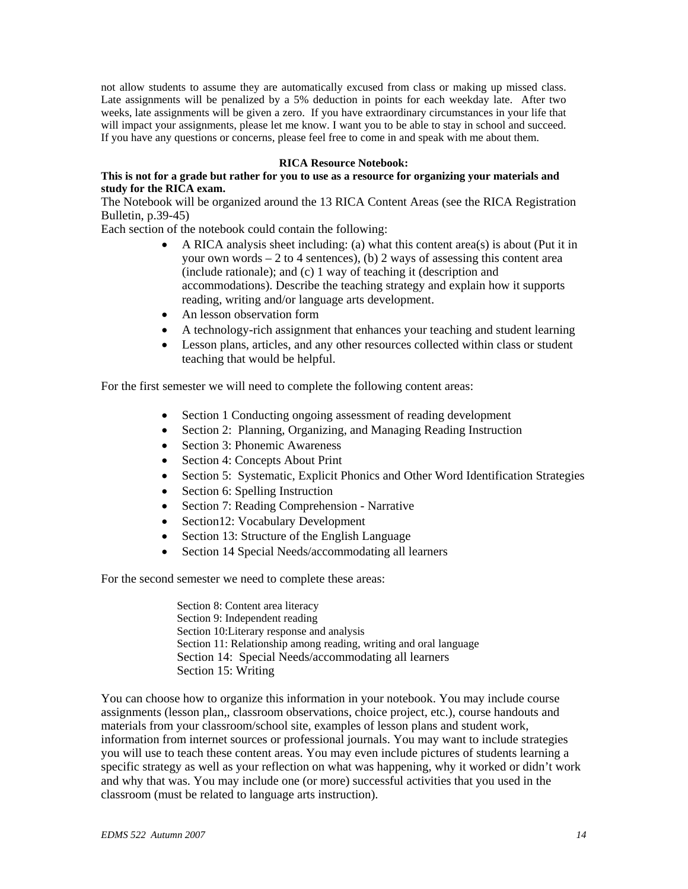not allow students to assume they are automatically excused from class or making up missed class. Late assignments will be penalized by a 5% deduction in points for each weekday late. After two weeks, late assignments will be given a zero. If you have extraordinary circumstances in your life that will impact your assignments, please let me know. I want you to be able to stay in school and succeed. If you have any questions or concerns, please feel free to come in and speak with me about them.

### **RICA Resource Notebook:**

### **This is not for a grade but rather for you to use as a resource for organizing your materials and study for the RICA exam.**

The Notebook will be organized around the 13 RICA Content Areas (see the RICA Registration Bulletin, p.39-45)

Each section of the notebook could contain the following:

- A RICA analysis sheet including: (a) what this content area(s) is about (Put it in your own words  $-2$  to 4 sentences), (b) 2 ways of assessing this content area (include rationale); and (c) 1 way of teaching it (description and accommodations). Describe the teaching strategy and explain how it supports reading, writing and/or language arts development.
- An lesson observation form
- A technology-rich assignment that enhances your teaching and student learning
- Lesson plans, articles, and any other resources collected within class or student teaching that would be helpful.

For the first semester we will need to complete the following content areas:

- Section 1 Conducting ongoing assessment of reading development
- Section 2: Planning, Organizing, and Managing Reading Instruction
- Section 3: Phonemic Awareness
- Section 4: Concepts About Print
- Section 5: Systematic, Explicit Phonics and Other Word Identification Strategies
- Section 6: Spelling Instruction
- Section 7: Reading Comprehension Narrative
- Section12: Vocabulary Development
- Section 13: Structure of the English Language
- Section 14 Special Needs/accommodating all learners

For the second semester we need to complete these areas:

Section 8: Content area literacy Section 9: Independent reading Section 10:Literary response and analysis Section 11: Relationship among reading, writing and oral language Section 14: Special Needs/accommodating all learners Section 15: Writing

You can choose how to organize this information in your notebook. You may include course assignments (lesson plan,, classroom observations, choice project, etc.), course handouts and materials from your classroom/school site, examples of lesson plans and student work, information from internet sources or professional journals. You may want to include strategies you will use to teach these content areas. You may even include pictures of students learning a specific strategy as well as your reflection on what was happening, why it worked or didn't work and why that was. You may include one (or more) successful activities that you used in the classroom (must be related to language arts instruction).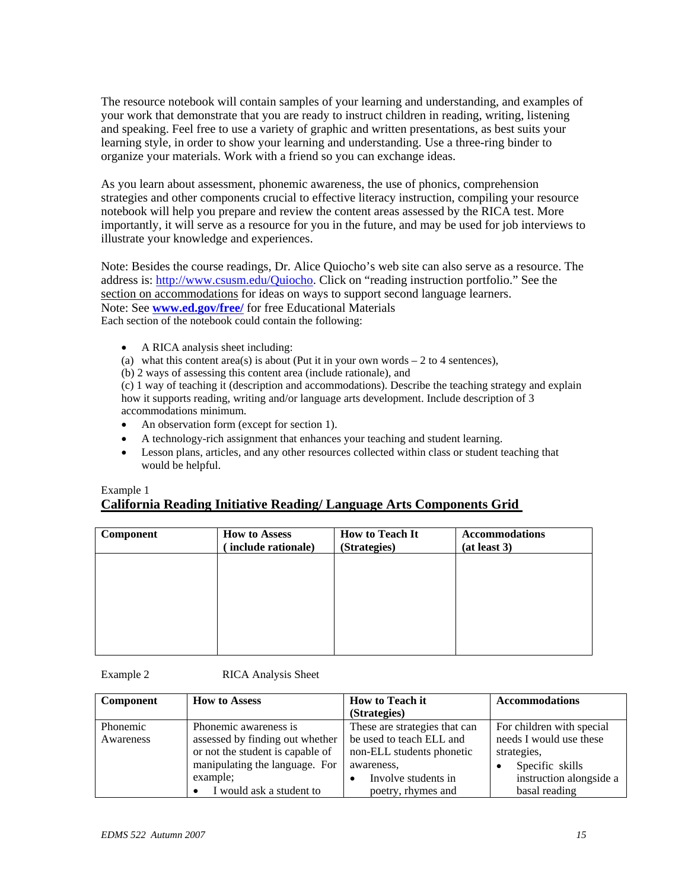The resource notebook will contain samples of your learning and understanding, and examples of your work that demonstrate that you are ready to instruct children in reading, writing, listening and speaking. Feel free to use a variety of graphic and written presentations, as best suits your learning style, in order to show your learning and understanding. Use a three-ring binder to organize your materials. Work with a friend so you can exchange ideas.

As you learn about assessment, phonemic awareness, the use of phonics, comprehension strategies and other components crucial to effective literacy instruction, compiling your resource notebook will help you prepare and review the content areas assessed by the RICA test. More importantly, it will serve as a resource for you in the future, and may be used for job interviews to illustrate your knowledge and experiences.

Note: Besides the course readings, Dr. Alice Quiocho's web site can also serve as a resource. The address is: http://www.csusm.edu/Quiocho. Click on "reading instruction portfolio." See the section on accommodations for ideas on ways to support second language learners. Note: See **www.ed.gov/free/** for free Educational Materials Each section of the notebook could contain the following:

- A RICA analysis sheet including:
- (a) what this content area(s) is about (Put it in your own words  $-2$  to 4 sentences),

(b) 2 ways of assessing this content area (include rationale), and

(c) 1 way of teaching it (description and accommodations). Describe the teaching strategy and explain how it supports reading, writing and/or language arts development. Include description of 3 accommodations minimum.

- An observation form (except for section 1).
- A technology-rich assignment that enhances your teaching and student learning.
- Lesson plans, articles, and any other resources collected within class or student teaching that would be helpful.

# Example 1 **California Reading Initiative Reading/ Language Arts Components Grid**

| Component | <b>How to Assess</b><br>include rationale) | <b>How to Teach It</b><br>(Strategies) | <b>Accommodations</b><br>(at least 3) |
|-----------|--------------------------------------------|----------------------------------------|---------------------------------------|
|           |                                            |                                        |                                       |
|           |                                            |                                        |                                       |
|           |                                            |                                        |                                       |
|           |                                            |                                        |                                       |

Example 2 RICA Analysis Sheet

| Component | <b>How to Assess</b>             | <b>How to Teach it</b>        | <b>Accommodations</b>     |
|-----------|----------------------------------|-------------------------------|---------------------------|
|           |                                  | (Strategies)                  |                           |
| Phonemic  | Phonemic awareness is            | These are strategies that can | For children with special |
| Awareness | assessed by finding out whether  | be used to teach ELL and      | needs I would use these   |
|           | or not the student is capable of | non-ELL students phonetic     | strategies,               |
|           | manipulating the language. For   | awareness.                    | Specific skills           |
|           | example:                         | Involve students in           | instruction alongside a   |
|           | I would ask a student to         | poetry, rhymes and            | basal reading             |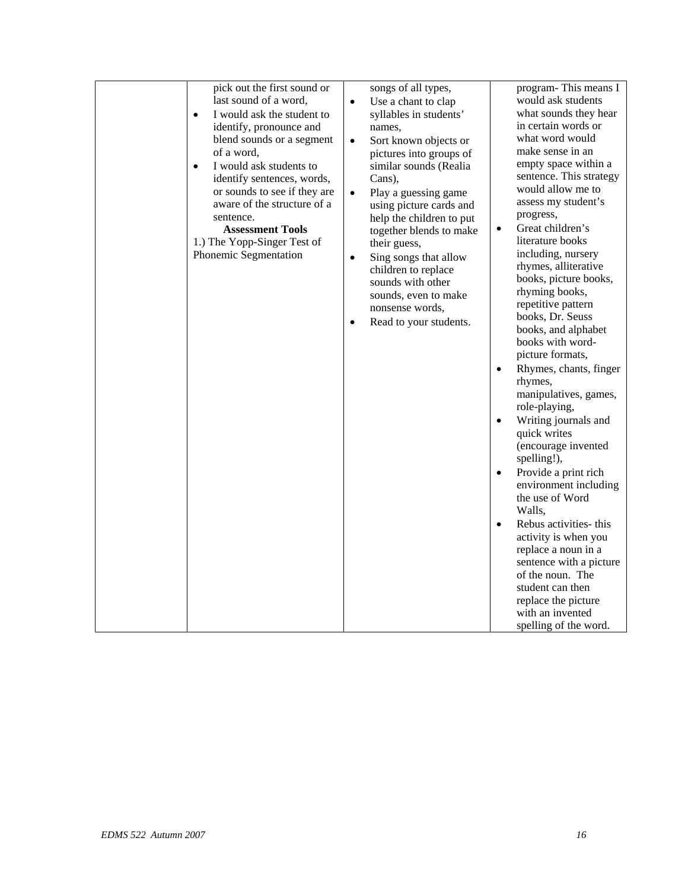| pick out the first sound or<br>last sound of a word,<br>I would ask the student to<br>$\bullet$<br>identify, pronounce and<br>blend sounds or a segment<br>of a word,<br>I would ask students to<br>$\bullet$<br>identify sentences, words,<br>or sounds to see if they are<br>aware of the structure of a<br>sentence.<br><b>Assessment Tools</b><br>1.) The Yopp-Singer Test of<br>Phonemic Segmentation | songs of all types,<br>Use a chant to clap<br>$\bullet$<br>syllables in students'<br>names,<br>Sort known objects or<br>$\bullet$<br>pictures into groups of<br>similar sounds (Realia<br>Cans),<br>Play a guessing game<br>$\bullet$<br>using picture cards and<br>help the children to put<br>together blends to make<br>their guess,<br>Sing songs that allow<br>$\bullet$<br>children to replace<br>sounds with other<br>sounds, even to make<br>nonsense words,<br>Read to your students.<br>$\bullet$ | program-This means I<br>would ask students<br>what sounds they hear<br>in certain words or<br>what word would<br>make sense in an<br>empty space within a<br>sentence. This strategy<br>would allow me to<br>assess my student's<br>progress,<br>Great children's<br>$\bullet$<br>literature books<br>including, nursery<br>rhymes, alliterative<br>books, picture books,<br>rhyming books,<br>repetitive pattern<br>books, Dr. Seuss<br>books, and alphabet<br>books with word-<br>picture formats,<br>Rhymes, chants, finger<br>$\bullet$<br>rhymes,<br>manipulatives, games,<br>role-playing,<br>Writing journals and<br>$\bullet$<br>quick writes<br>(encourage invented<br>spelling!),<br>Provide a print rich<br>$\bullet$ |
|------------------------------------------------------------------------------------------------------------------------------------------------------------------------------------------------------------------------------------------------------------------------------------------------------------------------------------------------------------------------------------------------------------|-------------------------------------------------------------------------------------------------------------------------------------------------------------------------------------------------------------------------------------------------------------------------------------------------------------------------------------------------------------------------------------------------------------------------------------------------------------------------------------------------------------|----------------------------------------------------------------------------------------------------------------------------------------------------------------------------------------------------------------------------------------------------------------------------------------------------------------------------------------------------------------------------------------------------------------------------------------------------------------------------------------------------------------------------------------------------------------------------------------------------------------------------------------------------------------------------------------------------------------------------------|
|                                                                                                                                                                                                                                                                                                                                                                                                            |                                                                                                                                                                                                                                                                                                                                                                                                                                                                                                             | environment including<br>the use of Word<br>Walls,<br>Rebus activities- this<br>$\bullet$<br>activity is when you<br>replace a noun in a<br>sentence with a picture<br>of the noun. The<br>student can then                                                                                                                                                                                                                                                                                                                                                                                                                                                                                                                      |
|                                                                                                                                                                                                                                                                                                                                                                                                            |                                                                                                                                                                                                                                                                                                                                                                                                                                                                                                             | replace the picture<br>with an invented<br>spelling of the word.                                                                                                                                                                                                                                                                                                                                                                                                                                                                                                                                                                                                                                                                 |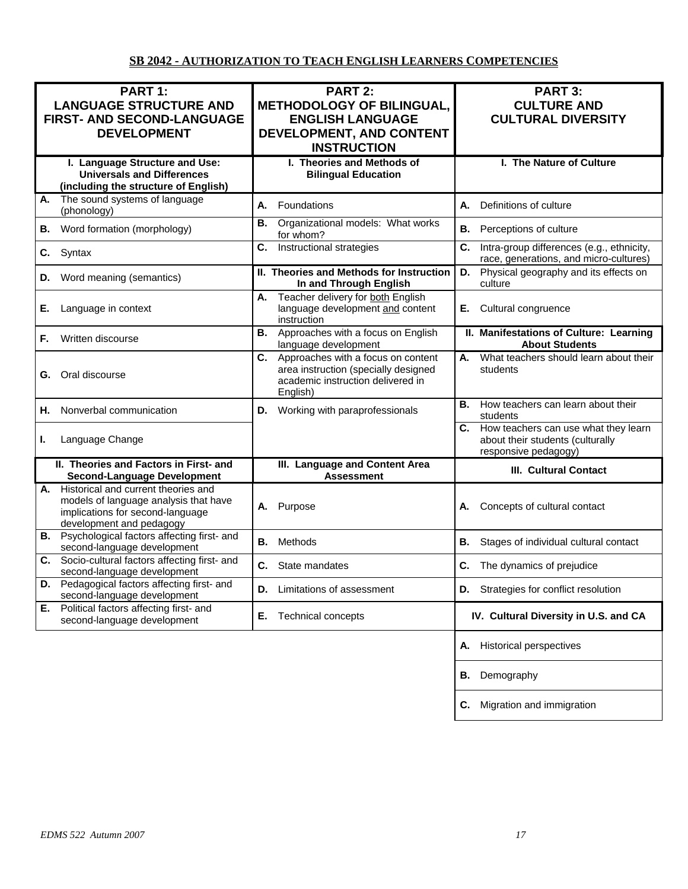| PART 1:<br><b>LANGUAGE STRUCTURE AND</b><br>FIRST- AND SECOND-LANGUAGE<br><b>DEVELOPMENT</b>                                                    | <b>PART 2:</b><br><b>METHODOLOGY OF BILINGUAL,</b><br><b>ENGLISH LANGUAGE</b><br>DEVELOPMENT, AND CONTENT<br><b>INSTRUCTION</b> | PART 3:<br><b>CULTURE AND</b><br><b>CULTURAL DIVERSITY</b>                                          |
|-------------------------------------------------------------------------------------------------------------------------------------------------|---------------------------------------------------------------------------------------------------------------------------------|-----------------------------------------------------------------------------------------------------|
| I. Language Structure and Use:<br><b>Universals and Differences</b><br>(including the structure of English)                                     | I. Theories and Methods of<br><b>Bilingual Education</b>                                                                        | I. The Nature of Culture                                                                            |
| The sound systems of language<br>А.<br>(phonology)                                                                                              | Foundations<br>А.                                                                                                               | Definitions of culture<br>А.                                                                        |
| Word formation (morphology)<br>В.                                                                                                               | Organizational models: What works<br><b>B.</b><br>for whom?                                                                     | Perceptions of culture<br>В.                                                                        |
| C.<br>Syntax                                                                                                                                    | Instructional strategies<br>C.                                                                                                  | C.<br>Intra-group differences (e.g., ethnicity,<br>race, generations, and micro-cultures)           |
| Word meaning (semantics)<br>D.                                                                                                                  | II. Theories and Methods for Instruction<br>In and Through English                                                              | Physical geography and its effects on<br>D.<br>culture                                              |
| Language in context<br>Е.                                                                                                                       | Teacher delivery for both English<br>А.<br>language development and content<br>instruction                                      | Cultural congruence<br>Е.                                                                           |
| Written discourse<br>F.                                                                                                                         | Approaches with a focus on English<br>В.<br>language development                                                                | II. Manifestations of Culture: Learning<br><b>About Students</b>                                    |
| Oral discourse<br>G.                                                                                                                            | C. Approaches with a focus on content<br>area instruction (specially designed<br>academic instruction delivered in<br>English)  | What teachers should learn about their<br>А.<br>students                                            |
| Nonverbal communication<br>Н.                                                                                                                   | Working with paraprofessionals<br>D.                                                                                            | How teachers can learn about their<br>В.<br>students                                                |
| Language Change<br>ı.                                                                                                                           |                                                                                                                                 | C. How teachers can use what they learn<br>about their students (culturally<br>responsive pedagogy) |
| II. Theories and Factors in First- and<br><b>Second-Language Development</b>                                                                    | III. Language and Content Area<br><b>Assessment</b>                                                                             | <b>III. Cultural Contact</b>                                                                        |
| A. Historical and current theories and<br>models of language analysis that have<br>implications for second-language<br>development and pedagogy | Purpose<br>А.                                                                                                                   | Concepts of cultural contact                                                                        |
| Psychological factors affecting first- and<br>В.<br>second-language development                                                                 | Methods<br>В.                                                                                                                   | В.<br>Stages of individual cultural contact                                                         |
| C. Socio-cultural factors affecting first- and<br>second-language development                                                                   | С.<br>State mandates                                                                                                            | С.<br>The dynamics of prejudice                                                                     |
| Pedagogical factors affecting first- and<br>D.<br>second-language development                                                                   | Limitations of assessment<br>D.                                                                                                 | Strategies for conflict resolution<br>D.                                                            |
| Political factors affecting first- and<br>Е.<br>second-language development                                                                     | Е.<br>Technical concepts                                                                                                        | IV. Cultural Diversity in U.S. and CA                                                               |
|                                                                                                                                                 |                                                                                                                                 | <b>Historical perspectives</b><br>А.                                                                |
|                                                                                                                                                 |                                                                                                                                 | Demography<br>В.                                                                                    |
|                                                                                                                                                 |                                                                                                                                 | Migration and immigration<br>С.                                                                     |